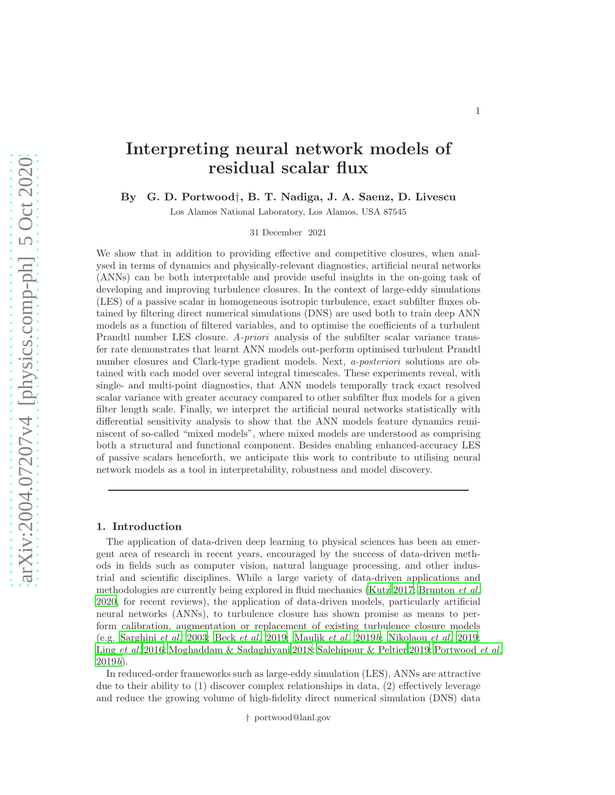# Interpreting neural network models of residual scalar flux

By G. D. Portwood†, B. T. Nadiga, J. A. Saenz, D. Livescu

Los Alamos National Laboratory, Los Alamos, USA 87545

31 December 2021

We show that in addition to providing effective and competitive closures, when analysed in terms of dynamics and physically-relevant diagnostics, artificial neural networks (ANNs) can be both interpretable and provide useful insights in the on-going task of developing and improving turbulence closures. In the context of large-eddy simulations (LES) of a passive scalar in homogeneous isotropic turbulence, exact subfilter fluxes obtained by filtering direct numerical simulations (DNS) are used both to train deep ANN models as a function of filtered variables, and to optimise the coefficients of a turbulent Prandtl number LES closure. A-priori analysis of the subfilter scalar variance transfer rate demonstrates that learnt ANN models out-perform optimised turbulent Prandtl number closures and Clark-type gradient models. Next, a-posteriori solutions are obtained with each model over several integral timescales. These experiments reveal, with single- and multi-point diagnostics, that ANN models temporally track exact resolved scalar variance with greater accuracy compared to other subfilter flux models for a given filter length scale. Finally, we interpret the artificial neural networks statistically with differential sensitivity analysis to show that the ANN models feature dynamics reminiscent of so-called "mixed models", where mixed models are understood as comprising both a structural and functional component. Besides enabling enhanced-accuracy LES of passive scalars henceforth, we anticipate this work to contribute to utilising neural network models as a tool in interpretability, robustness and model discovery.

## 1. Introduction

The application of data-driven deep learning to physical sciences has been an emergent area of research in recent years, encouraged by the success of data-driven methods in fields such as computer vision, natural language processing, and other industrial and scientific disciplines. While a large variety of data-driven applications and methodologies are currently being explored in fluid mechanics [\(Kutz 2017;](#page-12-0) [Brunton](#page-12-1) *et al.*) [2020,](#page-12-1) for recent reviews), the application of data-driven models, particularly artificial neural networks (ANNs), to turbulence closure has shown promise as means to perform calibration, augmentation or replacement of existing turbulence closure models (e.g. [Sarghini](#page-13-0) et al. [2003](#page-13-0); Beck [et al.](#page-12-2) [2019](#page-12-2); [Maulik](#page-12-3) et al. [2019](#page-12-3)b; [Nikolaou](#page-12-4) et al. [2019;](#page-12-4) Ling [et al.](#page-12-5) [2016](#page-12-5); [Moghaddam & Sadaghiyani 2018](#page-12-6); [Salehipour & Peltier 2019;](#page-13-1) [Portwood](#page-13-2) et al.  $2019b$  $2019b$ ).

In reduced-order frameworks such as large-eddy simulation (LES), ANNs are attractive due to their ability to (1) discover complex relationships in data, (2) effectively leverage and reduce the growing volume of high-fidelity direct numerical simulation (DNS) data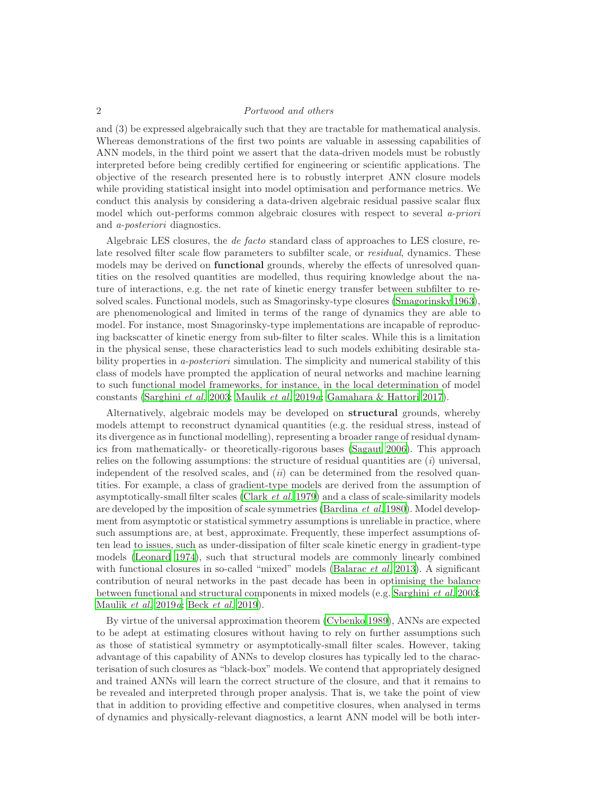and (3) be expressed algebraically such that they are tractable for mathematical analysis. Whereas demonstrations of the first two points are valuable in assessing capabilities of ANN models, in the third point we assert that the data-driven models must be robustly interpreted before being credibly certified for engineering or scientific applications. The objective of the research presented here is to robustly interpret ANN closure models while providing statistical insight into model optimisation and performance metrics. We conduct this analysis by considering a data-driven algebraic residual passive scalar flux model which out-performs common algebraic closures with respect to several a-priori and a-posteriori diagnostics.

Algebraic LES closures, the de facto standard class of approaches to LES closure, relate resolved filter scale flow parameters to subfilter scale, or *residual*, dynamics. These models may be derived on **functional** grounds, whereby the effects of unresolved quantities on the resolved quantities are modelled, thus requiring knowledge about the nature of interactions, e.g. the net rate of kinetic energy transfer between subfilter to resolved scales. Functional models, such as Smagorinsky-type closures [\(Smagorinsky 1963\)](#page-13-3), are phenomenological and limited in terms of the range of dynamics they are able to model. For instance, most Smagorinsky-type implementations are incapable of reproducing backscatter of kinetic energy from sub-filter to filter scales. While this is a limitation in the physical sense, these characteristics lead to such models exhibiting desirable stability properties in *a-posteriori* simulation. The simplicity and numerical stability of this class of models have prompted the application of neural networks and machine learning to such functional model frameworks, for instance, in the local determination of model constants [\(Sarghini](#page-13-0) et al. [2003;](#page-13-0) [Maulik](#page-12-7) et al. [2019](#page-12-7)a; [Gamahara & Hattori 2017\)](#page-12-8).

Alternatively, algebraic models may be developed on structural grounds, whereby models attempt to reconstruct dynamical quantities (e.g. the residual stress, instead of its divergence as in functional modelling), representing a broader range of residual dynamics from mathematically- or theoretically-rigorous bases [\(Sagaut 2006\)](#page-13-4). This approach relies on the following assumptions: the structure of residual quantities are  $(i)$  universal, independent of the resolved scales, and  $(ii)$  can be determined from the resolved quantities. For example, a class of gradient-type models are derived from the assumption of asymptotically-small filter scales [\(Clark](#page-12-9) et al. [1979\)](#page-12-9) and a class of scale-similarity models are developed by the imposition of scale symmetries [\(Bardina](#page-12-10) *et al.* [1980](#page-12-10)). Model development from asymptotic or statistical symmetry assumptions is unreliable in practice, where such assumptions are, at best, approximate. Frequently, these imperfect assumptions often lead to issues, such as under-dissipation of filter scale kinetic energy in gradient-type models [\(Leonard 1974\)](#page-12-11), such that structural models are commonly linearly combined with functional closures in so-called "mixed" models [\(Balarac](#page-12-12) *et al.* [2013\)](#page-12-12). A significant contribution of neural networks in the past decade has been in optimising the balance between functional and structural components in mixed models (e.g. [Sarghini](#page-13-0) et al. [2003;](#page-13-0) [Maulik](#page-12-7) et al. [2019](#page-12-7)a; Beck [et al.](#page-12-2) [2019\)](#page-12-2).

By virtue of the universal approximation theorem [\(Cybenko 1989](#page-12-13)), ANNs are expected to be adept at estimating closures without having to rely on further assumptions such as those of statistical symmetry or asymptotically-small filter scales. However, taking advantage of this capability of ANNs to develop closures has typically led to the characterisation of such closures as "black-box" models. We contend that appropriately designed and trained ANNs will learn the correct structure of the closure, and that it remains to be revealed and interpreted through proper analysis. That is, we take the point of view that in addition to providing effective and competitive closures, when analysed in terms of dynamics and physically-relevant diagnostics, a learnt ANN model will be both inter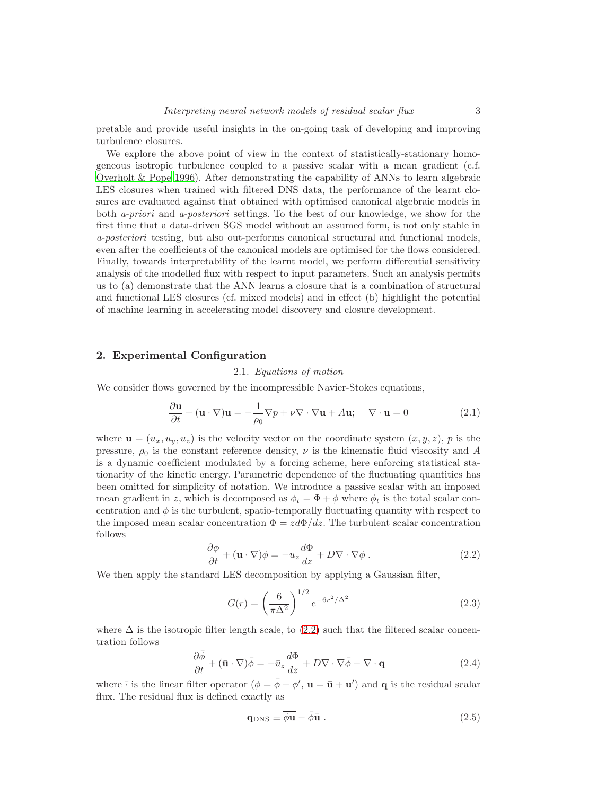pretable and provide useful insights in the on-going task of developing and improving turbulence closures.

We explore the above point of view in the context of statistically-stationary homogeneous isotropic turbulence coupled to a passive scalar with a mean gradient (c.f. [Overholt & Pope 1996\)](#page-12-14). After demonstrating the capability of ANNs to learn algebraic LES closures when trained with filtered DNS data, the performance of the learnt closures are evaluated against that obtained with optimised canonical algebraic models in both a-priori and a-posteriori settings. To the best of our knowledge, we show for the first time that a data-driven SGS model without an assumed form, is not only stable in a-posteriori testing, but also out-performs canonical structural and functional models, even after the coefficients of the canonical models are optimised for the flows considered. Finally, towards interpretability of the learnt model, we perform differential sensitivity analysis of the modelled flux with respect to input parameters. Such an analysis permits us to (a) demonstrate that the ANN learns a closure that is a combination of structural and functional LES closures (cf. mixed models) and in effect (b) highlight the potential of machine learning in accelerating model discovery and closure development.

# 2. Experimental Configuration

# 2.1. Equations of motion

We consider flows governed by the incompressible Navier-Stokes equations,

<span id="page-2-1"></span>
$$
\frac{\partial \mathbf{u}}{\partial t} + (\mathbf{u} \cdot \nabla) \mathbf{u} = -\frac{1}{\rho_0} \nabla p + \nu \nabla \cdot \nabla \mathbf{u} + A \mathbf{u}; \quad \nabla \cdot \mathbf{u} = 0 \tag{2.1}
$$

where  $\mathbf{u} = (u_x, u_y, u_z)$  is the velocity vector on the coordinate system  $(x, y, z)$ , p is the pressure,  $\rho_0$  is the constant reference density,  $\nu$  is the kinematic fluid viscosity and A is a dynamic coefficient modulated by a forcing scheme, here enforcing statistical stationarity of the kinetic energy. Parametric dependence of the fluctuating quantities has been omitted for simplicity of notation. We introduce a passive scalar with an imposed mean gradient in z, which is decomposed as  $\phi_t = \Phi + \phi$  where  $\phi_t$  is the total scalar concentration and  $\phi$  is the turbulent, spatio-temporally fluctuating quantity with respect to the imposed mean scalar concentration  $\Phi = zd\Phi/dz$ . The turbulent scalar concentration follows

<span id="page-2-0"></span>
$$
\frac{\partial \phi}{\partial t} + (\mathbf{u} \cdot \nabla)\phi = -u_z \frac{d\Phi}{dz} + D \nabla \cdot \nabla \phi . \qquad (2.2)
$$

We then apply the standard LES decomposition by applying a Gaussian filter,

<span id="page-2-3"></span>
$$
G(r) = \left(\frac{6}{\pi\Delta^2}\right)^{1/2} e^{-6r^2/\Delta^2}
$$
 (2.3)

where  $\Delta$  is the isotropic filter length scale, to [\(2.2\)](#page-2-0) such that the filtered scalar concentration follows

<span id="page-2-2"></span>
$$
\frac{\partial \bar{\phi}}{\partial t} + (\bar{\mathbf{u}} \cdot \nabla)\bar{\phi} = -\bar{u}_z \frac{d\Phi}{dz} + D\nabla \cdot \nabla \bar{\phi} - \nabla \cdot \mathbf{q}
$$
(2.4)

where  $\overline{\cdot}$  is the linear filter operator  $(\phi = \overline{\phi} + \phi', \mathbf{u} = \overline{\mathbf{u}} + \mathbf{u}')$  and **q** is the residual scalar flux. The residual flux is defined exactly as

<span id="page-2-4"></span>
$$
\mathbf{q}_{\rm DNS} \equiv \overline{\phi \mathbf{u}} - \bar{\phi} \bar{\mathbf{u}} \ . \tag{2.5}
$$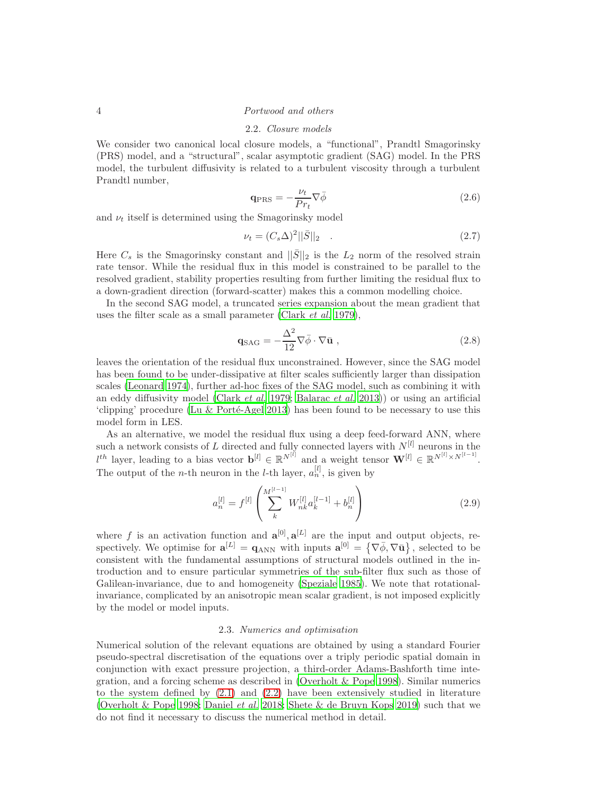#### 2.2. Closure models

We consider two canonical local closure models, a "functional", Prandtl Smagorinsky (PRS) model, and a "structural", scalar asymptotic gradient (SAG) model. In the PRS model, the turbulent diffusivity is related to a turbulent viscosity through a turbulent Prandtl number,

$$
\mathbf{q}_{\mathrm{PRS}} = -\frac{\nu_t}{Pr_t} \nabla \bar{\phi}
$$
\n(2.6)

and  $\nu_t$  itself is determined using the Smagorinsky model

$$
\nu_t = (C_s \Delta)^2 ||\bar{S}||_2 \quad . \tag{2.7}
$$

Here  $C_s$  is the Smagorinsky constant and  $\|\bar{S}\|_2$  is the  $L_2$  norm of the resolved strain rate tensor. While the residual flux in this model is constrained to be parallel to the resolved gradient, stability properties resulting from further limiting the residual flux to a down-gradient direction (forward-scatter) makes this a common modelling choice.

In the second SAG model, a truncated series expansion about the mean gradient that uses the filter scale as a small parameter [\(Clark](#page-12-9) et al. [1979\)](#page-12-9),

$$
\mathbf{q}_{\text{SAG}} = -\frac{\Delta^2}{12} \nabla \bar{\phi} \cdot \nabla \bar{\mathbf{u}} \,, \tag{2.8}
$$

leaves the orientation of the residual flux unconstrained. However, since the SAG model has been found to be under-dissipative at filter scales sufficiently larger than dissipation scales [\(Leonard 1974\)](#page-12-11), further ad-hoc fixes of the SAG model, such as combining it with an eddy diffusivity model [\(Clark](#page-12-9) *et al.* [1979;](#page-12-9) [Balarac](#page-12-12) *et al.* [2013\)](#page-12-12)) or using an artificial 'clipping' procedure (Lu  $&$  Porté-Agel 2013) has been found to be necessary to use this model form in LES.

As an alternative, we model the residual flux using a deep feed-forward ANN, where such a network consists of L directed and fully connected layers with  $N^{[l]}$  neurons in the  $l^{th}$  layer, leading to a bias vector  $\mathbf{b}^{[l]} \in \mathbb{R}^{N^{[l]}}$  and a weight tensor  $\mathbf{W}^{[l]} \in \mathbb{R}^{N^{[l]} \times N^{[l-1]}}$ . The output of the *n*-th neuron in the *l*-th layer,  $a_n^{[l]}$ , is given by

$$
a_n^{[l]} = f^{[l]} \left( \sum_k^{M^{[l-1]}} W_{nk}^{[l]} a_k^{[l-1]} + b_n^{[l]} \right) \tag{2.9}
$$

where f is an activation function and  $\mathbf{a}^{[0]}, \mathbf{a}^{[L]}$  are the input and output objects, respectively. We optimise for  $\mathbf{a}^{[L]} = \mathbf{q}_{\text{ANN}}$  with inputs  $\mathbf{a}^{[0]} = \{ \nabla \overline{\phi}, \nabla \overline{\mathbf{u}} \}$ , selected to be consistent with the fundamental assumptions of structural models outlined in the introduction and to ensure particular symmetries of the sub-filter flux such as those of Galilean-invariance, due to and homogeneity [\(Speziale 1985\)](#page-13-5). We note that rotationalinvariance, complicated by an anisotropic mean scalar gradient, is not imposed explicitly by the model or model inputs.

## 2.3. Numerics and optimisation

Numerical solution of the relevant equations are obtained by using a standard Fourier pseudo-spectral discretisation of the equations over a triply periodic spatial domain in conjunction with exact pressure projection, a third-order Adams-Bashforth time integration, and a forcing scheme as described in [\(Overholt & Pope 1998\)](#page-12-16). Similar numerics to the system defined by [\(2.1\)](#page-2-1) and [\(2.2\)](#page-2-0) have been extensively studied in literature [\(Overholt & Pope 1998;](#page-12-16) [Daniel](#page-12-17) et al. [2018](#page-12-17); [Shete & de Bruyn Kops 2019](#page-13-6)) such that we do not find it necessary to discuss the numerical method in detail.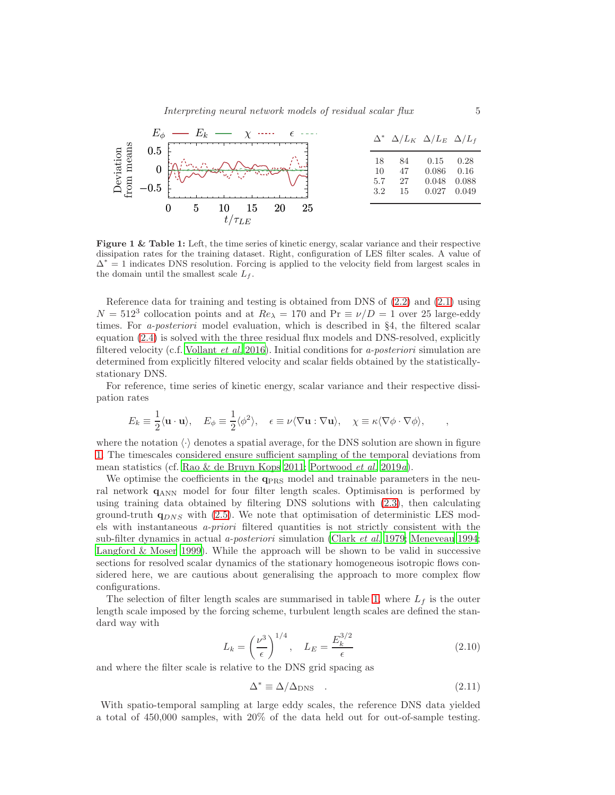<span id="page-4-0"></span>

Figure 1 & Table 1: Left, the time series of kinetic energy, scalar variance and their respective dissipation rates for the training dataset. Right, configuration of LES filter scales. A value of  $\Delta^* = 1$  indicates DNS resolution. Forcing is applied to the velocity field from largest scales in the domain until the smallest scale  $L_f$ .

Reference data for training and testing is obtained from DNS of [\(2.2\)](#page-2-0) and [\(2.1\)](#page-2-1) using  $N = 512<sup>3</sup>$  collocation points and at  $Re_{\lambda} = 170$  and  $Pr \equiv \nu/D = 1$  over 25 large-eddy times. For *a-posteriori* model evaluation, which is described in §4, the filtered scalar equation [\(2.4\)](#page-2-2) is solved with the three residual flux models and DNS-resolved, explicitly filtered velocity (c.f. [Vollant](#page-13-7) *et al.* [2016\)](#page-13-7). Initial conditions for a-posteriori simulation are determined from explicitly filtered velocity and scalar fields obtained by the statisticallystationary DNS.

For reference, time series of kinetic energy, scalar variance and their respective dissipation rates

$$
E_k \equiv \frac{1}{2} \langle \mathbf{u} \cdot \mathbf{u} \rangle, \quad E_{\phi} \equiv \frac{1}{2} \langle \phi^2 \rangle, \quad \epsilon \equiv \nu \langle \nabla \mathbf{u} : \nabla \mathbf{u} \rangle, \quad \chi \equiv \kappa \langle \nabla \phi \cdot \nabla \phi \rangle, \quad ,
$$

where the notation  $\langle \cdot \rangle$  denotes a spatial average, for the DNS solution are shown in figure [1.](#page-4-0) The timescales considered ensure sufficient sampling of the temporal deviations from mean statistics (cf. [Rao & de Bruyn Kops 2011;](#page-13-8) [Portwood](#page-13-9) et al. [2019](#page-13-9)a).

We optimise the coefficients in the  $q_{PRS}$  model and trainable parameters in the neural network  $q_{\rm ANN}$  model for four filter length scales. Optimisation is performed by using training data obtained by filtering DNS solutions with [\(2.3\)](#page-2-3), then calculating ground-truth  $q_{DNS}$  with [\(2.5\)](#page-2-4). We note that optimisation of deterministic LES models with instantaneous a-priori filtered quantities is not strictly consistent with the sub-filter dynamics in actual *a-posteriori* simulation [\(Clark](#page-12-9) *et al.* [1979;](#page-12-9) [Meneveau 1994;](#page-12-18) [Langford & Moser 1999\)](#page-12-19). While the approach will be shown to be valid in successive sections for resolved scalar dynamics of the stationary homogeneous isotropic flows considered here, we are cautious about generalising the approach to more complex flow configurations.

The selection of filter length scales are summarised in table [1,](#page-4-0) where  $L_f$  is the outer length scale imposed by the forcing scheme, turbulent length scales are defined the standard way with

$$
L_k = \left(\frac{\nu^3}{\epsilon}\right)^{1/4}, \quad L_E = \frac{E_k^{3/2}}{\epsilon} \tag{2.10}
$$

and where the filter scale is relative to the DNS grid spacing as

$$
\Delta^* \equiv \Delta/\Delta_{\rm DNS} \quad . \tag{2.11}
$$

With spatio-temporal sampling at large eddy scales, the reference DNS data yielded a total of 450,000 samples, with 20% of the data held out for out-of-sample testing.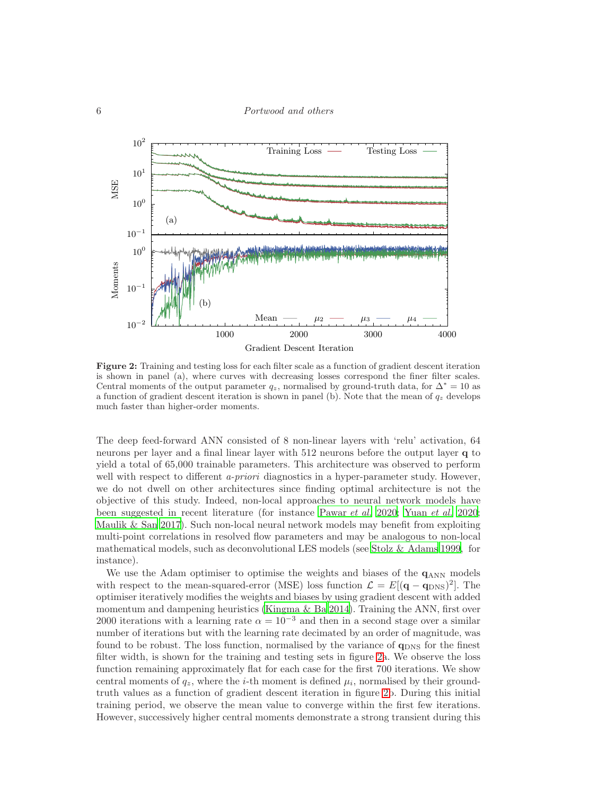<span id="page-5-0"></span>

Figure 2: Training and testing loss for each filter scale as a function of gradient descent iteration is shown in panel (a), where curves with decreasing losses correspond the finer filter scales. Central moments of the output parameter  $q_z$ , normalised by ground-truth data, for  $\Delta^* = 10$  as a function of gradient descent iteration is shown in panel (b). Note that the mean of  $q_z$  develops much faster than higher-order moments.

The deep feed-forward ANN consisted of 8 non-linear layers with 'relu' activation, 64 neurons per layer and a final linear layer with 512 neurons before the output layer q to yield a total of 65,000 trainable parameters. This architecture was observed to perform well with respect to different *a-priori* diagnostics in a hyper-parameter study. However, we do not dwell on other architectures since finding optimal architecture is not the objective of this study. Indeed, non-local approaches to neural network models have been suggested in recent literature (for instance [Pawar](#page-13-10) et al. [2020](#page-13-10); [Yuan](#page-13-11) et al. [2020;](#page-13-11) [Maulik & San 2017\)](#page-12-20). Such non-local neural network models may benefit from exploiting multi-point correlations in resolved flow parameters and may be analogous to non-local mathematical models, such as deconvolutional LES models (see [Stolz & Adams 1999,](#page-13-12) for instance).

We use the Adam optimiser to optimise the weights and biases of the  $q_{ANN}$  models with respect to the mean-squared-error (MSE) loss function  $\mathcal{L} = E[(\mathbf{q} - \mathbf{q}_{\text{DNS}})^2]$ . The optimiser iteratively modifies the weights and biases by using gradient descent with added momentum and dampening heuristics (Kingma  $\&$  Ba 2014). Training the ANN, first over 2000 iterations with a learning rate  $\alpha = 10^{-3}$  and then in a second stage over a similar number of iterations but with the learning rate decimated by an order of magnitude, was found to be robust. The loss function, normalised by the variance of  $q_{DNS}$  for the finest filter width, is shown for the training and testing sets in figure [2a](#page-5-0). We observe the loss function remaining approximately flat for each case for the first 700 iterations. We show central moments of  $q_z$ , where the *i*-th moment is defined  $\mu_i$ , normalised by their groundtruth values as a function of gradient descent iteration in figure [2b](#page-5-0). During this initial training period, we observe the mean value to converge within the first few iterations. However, successively higher central moments demonstrate a strong transient during this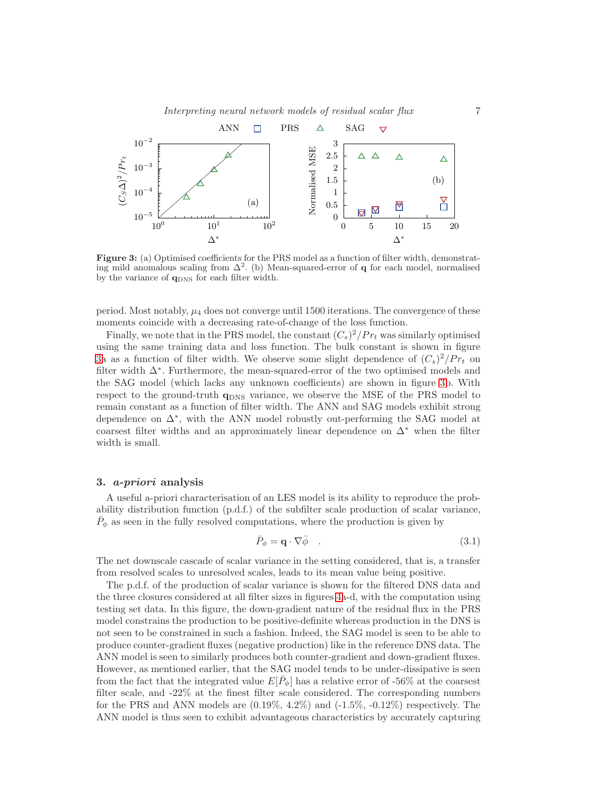<span id="page-6-0"></span>

Figure 3: (a) Optimised coefficients for the PRS model as a function of filter width, demonstrating mild anomalous scaling from  $\Delta^2$ . (b) Mean-squared-error of **q** for each model, normalised by the variance of  $q_{DNS}$  for each filter width.

period. Most notably,  $\mu_4$  does not converge until 1500 iterations. The convergence of these moments coincide with a decreasing rate-of-change of the loss function.

Finally, we note that in the PRS model, the constant  $(C_s)^2/Pr_t$  was similarly optimised using the same training data and loss function. The bulk constant is shown in figure [3a](#page-6-0) as a function of filter width. We observe some slight dependence of  $(C_s)^2/Pr_t$  on filter width ∆<sup>∗</sup> . Furthermore, the mean-squared-error of the two optimised models and the SAG model (which lacks any unknown coefficients) are shown in figure [3b](#page-6-0). With respect to the ground-truth  $q_{\text{DNS}}$  variance, we observe the MSE of the PRS model to remain constant as a function of filter width. The ANN and SAG models exhibit strong dependence on ∆<sup>∗</sup> , with the ANN model robustly out-performing the SAG model at coarsest filter widths and an approximately linear dependence on  $\Delta^*$  when the filter width is small.

#### 3. a-priori analysis

A useful a-priori characterisation of an LES model is its ability to reproduce the probability distribution function (p.d.f.) of the subfilter scale production of scalar variance,  $\bar{P}_{\phi}$  as seen in the fully resolved computations, where the production is given by

$$
\bar{P}_{\phi} = \mathbf{q} \cdot \nabla \bar{\phi} \quad . \tag{3.1}
$$

The net downscale cascade of scalar variance in the setting considered, that is, a transfer from resolved scales to unresolved scales, leads to its mean value being positive.

The p.d.f. of the production of scalar variance is shown for the filtered DNS data and the three closures considered at all filter sizes in figures [4a](#page-7-0)-d, with the computation using testing set data. In this figure, the down-gradient nature of the residual flux in the PRS model constrains the production to be positive-definite whereas production in the DNS is not seen to be constrained in such a fashion. Indeed, the SAG model is seen to be able to produce counter-gradient fluxes (negative production) like in the reference DNS data. The ANN model is seen to similarly produces both counter-gradient and down-gradient fluxes. However, as mentioned earlier, that the SAG model tends to be under-dissipative is seen from the fact that the integrated value  $E[\bar{P}_{\phi}]$  has a relative error of -56% at the coarsest filter scale, and -22% at the finest filter scale considered. The corresponding numbers for the PRS and ANN models are  $(0.19\%, 4.2\%)$  and  $(-1.5\%, -0.12\%)$  respectively. The ANN model is thus seen to exhibit advantageous characteristics by accurately capturing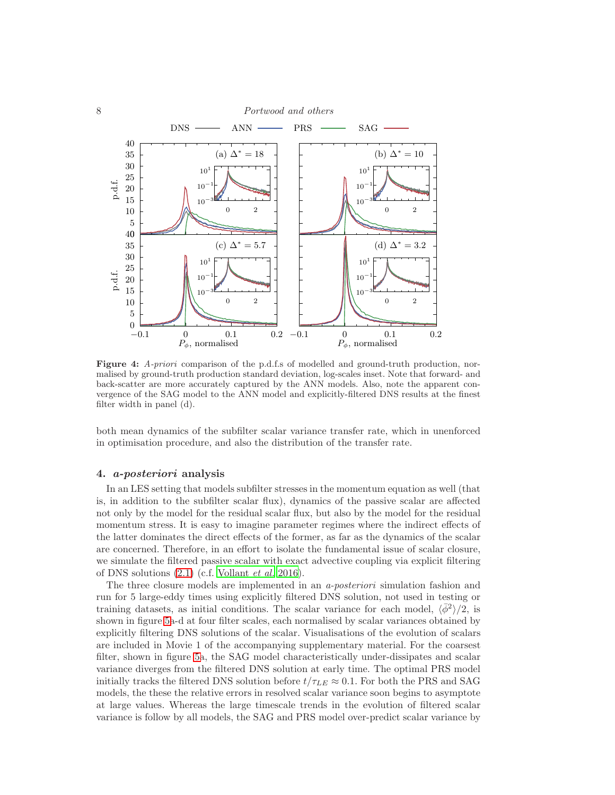<span id="page-7-0"></span>

Figure 4: *A-priori* comparison of the p.d.f.s of modelled and ground-truth production, normalised by ground-truth production standard deviation, log-scales inset. Note that forward- and back-scatter are more accurately captured by the ANN models. Also, note the apparent convergence of the SAG model to the ANN model and explicitly-filtered DNS results at the finest filter width in panel (d).

both mean dynamics of the subfilter scalar variance transfer rate, which in unenforced in optimisation procedure, and also the distribution of the transfer rate.

# 4. a-posteriori analysis

In an LES setting that models subfilter stresses in the momentum equation as well (that is, in addition to the subfilter scalar flux), dynamics of the passive scalar are affected not only by the model for the residual scalar flux, but also by the model for the residual momentum stress. It is easy to imagine parameter regimes where the indirect effects of the latter dominates the direct effects of the former, as far as the dynamics of the scalar are concerned. Therefore, in an effort to isolate the fundamental issue of scalar closure, we simulate the filtered passive scalar with exact advective coupling via explicit filtering of DNS solutions  $(2.1)$  (c.f. [Vollant](#page-13-7) et al. [2016\)](#page-13-7).

The three closure models are implemented in an a-posteriori simulation fashion and run for 5 large-eddy times using explicitly filtered DNS solution, not used in testing or training datasets, as initial conditions. The scalar variance for each model,  $\langle \bar{\phi}^2 \rangle / 2$ , is shown in figure [5a](#page-8-0)-d at four filter scales, each normalised by scalar variances obtained by explicitly filtering DNS solutions of the scalar. Visualisations of the evolution of scalars are included in Movie 1 of the accompanying supplementary material. For the coarsest filter, shown in figure [5a](#page-8-0), the SAG model characteristically under-dissipates and scalar variance diverges from the filtered DNS solution at early time. The optimal PRS model initially tracks the filtered DNS solution before  $t/\tau_{LE} \approx 0.1$ . For both the PRS and SAG models, the these the relative errors in resolved scalar variance soon begins to asymptote at large values. Whereas the large timescale trends in the evolution of filtered scalar variance is follow by all models, the SAG and PRS model over-predict scalar variance by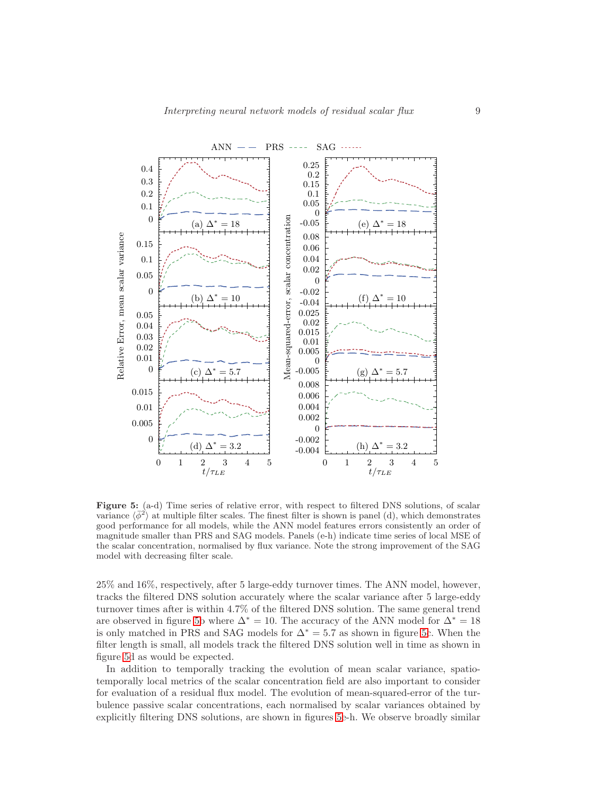<span id="page-8-0"></span>

Figure 5: (a-d) Time series of relative error, with respect to filtered DNS solutions, of scalar variance  $\langle \bar{\phi}^2 \rangle$  at multiple filter scales. The finest filter is shown is panel (d), which demonstrates good performance for all models, while the ANN model features errors consistently an order of magnitude smaller than PRS and SAG models. Panels (e-h) indicate time series of local MSE of the scalar concentration, normalised by flux variance. Note the strong improvement of the SAG model with decreasing filter scale.

25% and 16%, respectively, after 5 large-eddy turnover times. The ANN model, however, tracks the filtered DNS solution accurately where the scalar variance after 5 large-eddy turnover times after is within 4.7% of the filtered DNS solution. The same general trend are observed in figure [5b](#page-8-0) where  $\Delta^* = 10$ . The accuracy of the ANN model for  $\Delta^* = 18$ is only matched in PRS and SAG models for  $\Delta^* = 5.7$  as shown in figure [5c](#page-8-0). When the filter length is small, all models track the filtered DNS solution well in time as shown in figure [5d](#page-8-0) as would be expected.

In addition to temporally tracking the evolution of mean scalar variance, spatiotemporally local metrics of the scalar concentration field are also important to consider for evaluation of a residual flux model. The evolution of mean-squared-error of the turbulence passive scalar concentrations, each normalised by scalar variances obtained by explicitly filtering DNS solutions, are shown in figures [5e](#page-8-0)-h. We observe broadly similar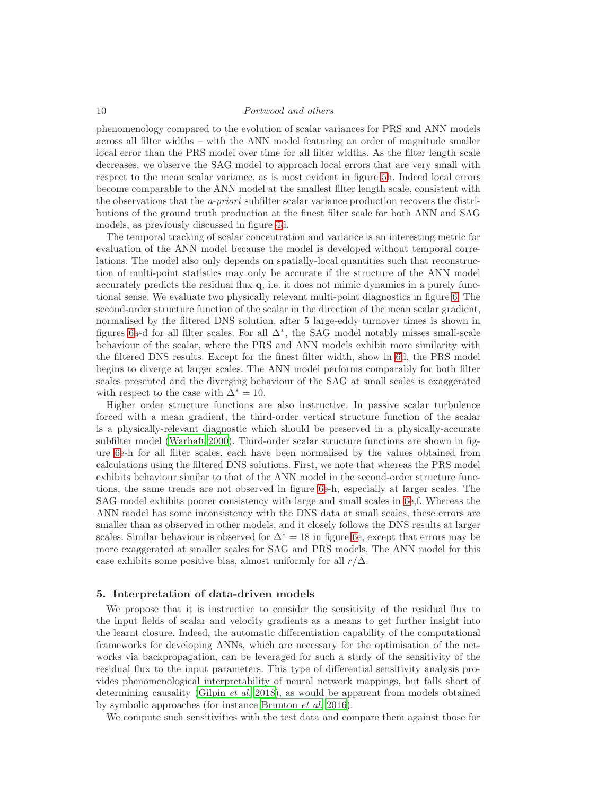phenomenology compared to the evolution of scalar variances for PRS and ANN models across all filter widths – with the ANN model featuring an order of magnitude smaller local error than the PRS model over time for all filter widths. As the filter length scale decreases, we observe the SAG model to approach local errors that are very small with respect to the mean scalar variance, as is most evident in figure [5h](#page-8-0). Indeed local errors become comparable to the ANN model at the smallest filter length scale, consistent with the observations that the *a-priori* subfilter scalar variance production recovers the distributions of the ground truth production at the finest filter scale for both ANN and SAG models, as previously discussed in figure [4d](#page-7-0).

The temporal tracking of scalar concentration and variance is an interesting metric for evaluation of the ANN model because the model is developed without temporal correlations. The model also only depends on spatially-local quantities such that reconstruction of multi-point statistics may only be accurate if the structure of the ANN model accurately predicts the residual flux  $q$ , i.e. it does not mimic dynamics in a purely functional sense. We evaluate two physically relevant multi-point diagnostics in figure [6.](#page-10-0) The second-order structure function of the scalar in the direction of the mean scalar gradient, normalised by the filtered DNS solution, after 5 large-eddy turnover times is shown in figures [6a](#page-10-0)-d for all filter scales. For all ∆<sup>∗</sup> , the SAG model notably misses small-scale behaviour of the scalar, where the PRS and ANN models exhibit more similarity with the filtered DNS results. Except for the finest filter width, show in [6d](#page-10-0), the PRS model begins to diverge at larger scales. The ANN model performs comparably for both filter scales presented and the diverging behaviour of the SAG at small scales is exaggerated with respect to the case with  $\Delta^* = 10$ .

Higher order structure functions are also instructive. In passive scalar turbulence forced with a mean gradient, the third-order vertical structure function of the scalar is a physically-relevant diagnostic which should be preserved in a physically-accurate subfilter model [\(Warhaft 2000\)](#page-13-13). Third-order scalar structure functions are shown in figure [6e](#page-10-0)-h for all filter scales, each have been normalised by the values obtained from calculations using the filtered DNS solutions. First, we note that whereas the PRS model exhibits behaviour similar to that of the ANN model in the second-order structure functions, the same trends are not observed in figure [6e](#page-10-0)-h, especially at larger scales. The SAG model exhibits poorer consistency with large and small scales in [6e](#page-10-0),f. Whereas the ANN model has some inconsistency with the DNS data at small scales, these errors are smaller than as observed in other models, and it closely follows the DNS results at larger scales. Similar behaviour is observed for  $\Delta^* = 18$  in figure [6e](#page-10-0), except that errors may be more exaggerated at smaller scales for SAG and PRS models. The ANN model for this case exhibits some positive bias, almost uniformly for all  $r/\Delta$ .

## 5. Interpretation of data-driven models

We propose that it is instructive to consider the sensitivity of the residual flux to the input fields of scalar and velocity gradients as a means to get further insight into the learnt closure. Indeed, the automatic differentiation capability of the computational frameworks for developing ANNs, which are necessary for the optimisation of the networks via backpropagation, can be leveraged for such a study of the sensitivity of the residual flux to the input parameters. This type of differential sensitivity analysis provides phenomenological interpretability of neural network mappings, but falls short of determining causality [\(Gilpin](#page-12-22) et al. [2018\)](#page-12-22), as would be apparent from models obtained by symbolic approaches (for instance [Brunton](#page-12-23) et al. [2016](#page-12-23)).

We compute such sensitivities with the test data and compare them against those for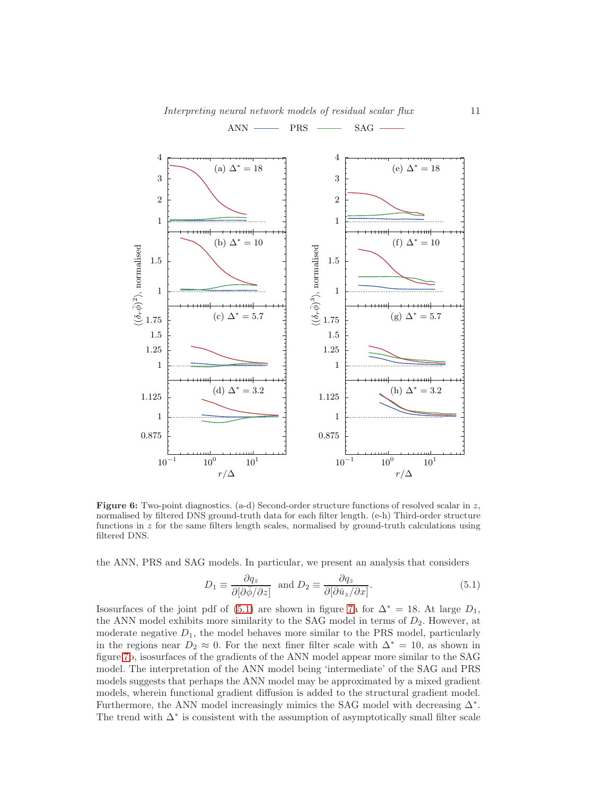$ANN$  PRS  $\longrightarrow$  SAG  $\rightarrow$ 

<span id="page-10-0"></span>

**Figure 6:** Two-point diagnostics. (a-d) Second-order structure functions of resolved scalar in z, normalised by filtered DNS ground-truth data for each filter length. (e-h) Third-order structure functions in z for the same filters length scales, normalised by ground-truth calculations using filtered DNS.

the ANN, PRS and SAG models. In particular, we present an analysis that considers

<span id="page-10-1"></span>
$$
D_1 \equiv \frac{\partial q_z}{\partial [\partial \bar{\phi}/\partial z]} \text{ and } D_2 \equiv \frac{\partial q_z}{\partial [\partial \bar{u}_z/\partial x]}.
$$
 (5.1)

Isosurfaces of the joint pdf of [\(5.1\)](#page-10-1) are shown in figure [7a](#page-11-0) for  $\Delta^* = 18$ . At large  $D_1$ , the ANN model exhibits more similarity to the SAG model in terms of  $D_2$ . However, at moderate negative  $D_1$ , the model behaves more similar to the PRS model, particularly in the regions near  $D_2 \approx 0$ . For the next finer filter scale with  $\Delta^* = 10$ , as shown in figure [7b](#page-11-0), isosurfaces of the gradients of the ANN model appear more similar to the SAG model. The interpretation of the ANN model being 'intermediate' of the SAG and PRS models suggests that perhaps the ANN model may be approximated by a mixed gradient models, wherein functional gradient diffusion is added to the structural gradient model. Furthermore, the ANN model increasingly mimics the SAG model with decreasing ∆<sup>∗</sup> . The trend with  $\Delta^*$  is consistent with the assumption of asymptotically small filter scale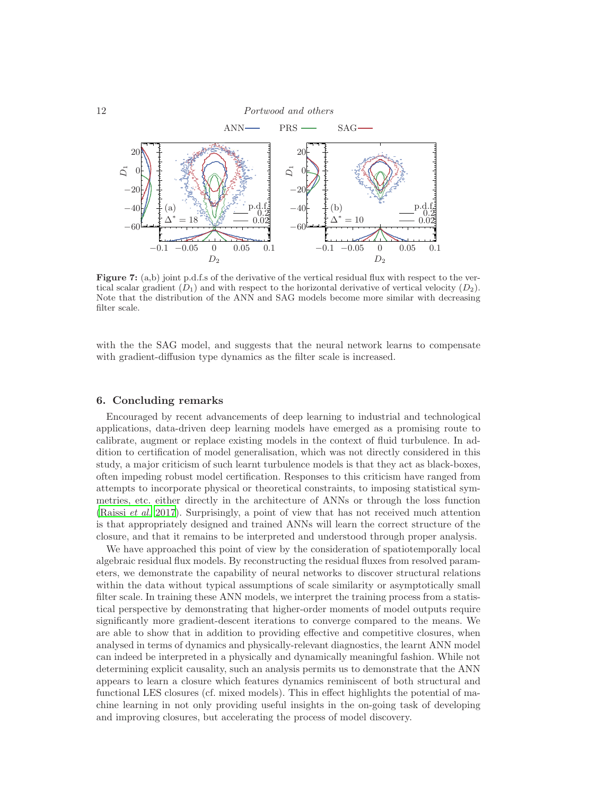<span id="page-11-0"></span>

Figure 7: (a,b) joint p.d.f.s of the derivative of the vertical residual flux with respect to the vertical scalar gradient  $(D_1)$  and with respect to the horizontal derivative of vertical velocity  $(D_2)$ . Note that the distribution of the ANN and SAG models become more similar with decreasing filter scale.

with the the SAG model, and suggests that the neural network learns to compensate with gradient-diffusion type dynamics as the filter scale is increased.

# 6. Concluding remarks

Encouraged by recent advancements of deep learning to industrial and technological applications, data-driven deep learning models have emerged as a promising route to calibrate, augment or replace existing models in the context of fluid turbulence. In addition to certification of model generalisation, which was not directly considered in this study, a major criticism of such learnt turbulence models is that they act as black-boxes, often impeding robust model certification. Responses to this criticism have ranged from attempts to incorporate physical or theoretical constraints, to imposing statistical symmetries, etc. either directly in the architecture of ANNs or through the loss function [\(Raissi](#page-13-14) et al. [2017\)](#page-13-14). Surprisingly, a point of view that has not received much attention is that appropriately designed and trained ANNs will learn the correct structure of the closure, and that it remains to be interpreted and understood through proper analysis.

We have approached this point of view by the consideration of spatiotemporally local algebraic residual flux models. By reconstructing the residual fluxes from resolved parameters, we demonstrate the capability of neural networks to discover structural relations within the data without typical assumptions of scale similarity or asymptotically small filter scale. In training these ANN models, we interpret the training process from a statistical perspective by demonstrating that higher-order moments of model outputs require significantly more gradient-descent iterations to converge compared to the means. We are able to show that in addition to providing effective and competitive closures, when analysed in terms of dynamics and physically-relevant diagnostics, the learnt ANN model can indeed be interpreted in a physically and dynamically meaningful fashion. While not determining explicit causality, such an analysis permits us to demonstrate that the ANN appears to learn a closure which features dynamics reminiscent of both structural and functional LES closures (cf. mixed models). This in effect highlights the potential of machine learning in not only providing useful insights in the on-going task of developing and improving closures, but accelerating the process of model discovery.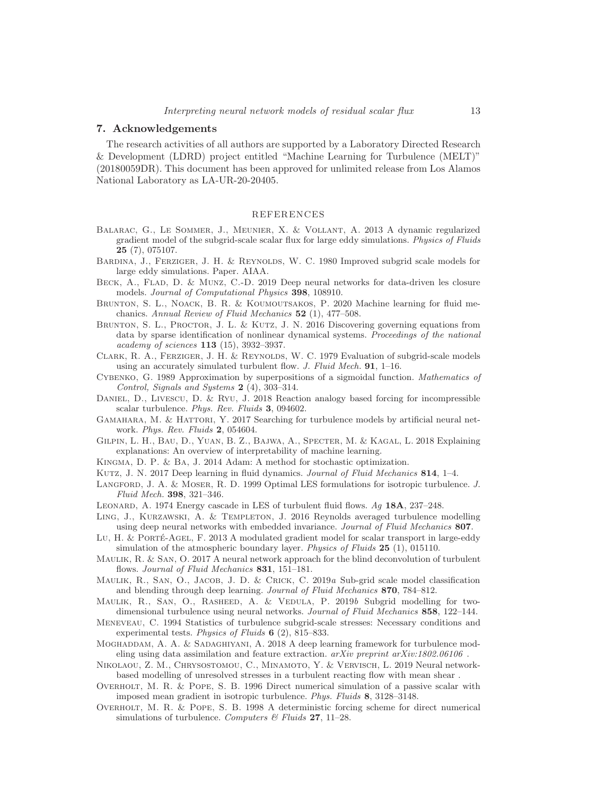## 7. Acknowledgements

The research activities of all authors are supported by a Laboratory Directed Research & Development (LDRD) project entitled "Machine Learning for Turbulence (MELT)" (20180059DR). This document has been approved for unlimited release from Los Alamos National Laboratory as LA-UR-20-20405.

# REFERENCES

- <span id="page-12-12"></span>Balarac, G., Le Sommer, J., Meunier, X. & Vollant, A. 2013 A dynamic regularized gradient model of the subgrid-scale scalar flux for large eddy simulations. *Physics of Fluids*  $25(7), 075107.$
- <span id="page-12-10"></span>BARDINA, J., FERZIGER, J. H. & REYNOLDS, W. C. 1980 Improved subgrid scale models for large eddy simulations. Paper. AIAA.
- <span id="page-12-2"></span>Beck, A., Flad, D. & Munz, C.-D. 2019 Deep neural networks for data-driven les closure models. *Journal of Computational Physics* 398, 108910.
- <span id="page-12-1"></span>Brunton, S. L., Noack, B. R. & Koumoutsakos, P. 2020 Machine learning for fluid mechanics. *Annual Review of Fluid Mechanics* 52 (1), 477–508.
- <span id="page-12-23"></span>BRUNTON, S. L., PROCTOR, J. L. & KUTZ, J. N. 2016 Discovering governing equations from data by sparse identification of nonlinear dynamical systems. *Proceedings of the national academy of sciences* 113 (15), 3932–3937.
- <span id="page-12-9"></span>CLARK, R. A., FERZIGER, J. H. & REYNOLDS, W. C. 1979 Evaluation of subgrid-scale models using an accurately simulated turbulent flow. *J. Fluid Mech.* 91, 1–16.
- <span id="page-12-13"></span>Cybenko, G. 1989 Approximation by superpositions of a sigmoidal function. *Mathematics of Control, Signals and Systems* 2 (4), 303–314.
- <span id="page-12-17"></span>Daniel, D., Livescu, D. & Ryu, J. 2018 Reaction analogy based forcing for incompressible scalar turbulence. *Phys. Rev. Fluids* 3, 094602.
- <span id="page-12-8"></span>GAMAHARA, M. & HATTORI, Y. 2017 Searching for turbulence models by artificial neural network. *Phys. Rev. Fluids* 2, 054604.
- <span id="page-12-22"></span>Gilpin, L. H., Bau, D., Yuan, B. Z., Bajwa, A., Specter, M. & Kagal, L. 2018 Explaining explanations: An overview of interpretability of machine learning.
- <span id="page-12-21"></span>Kingma, D. P. & Ba, J. 2014 Adam: A method for stochastic optimization.
- <span id="page-12-0"></span>Kutz, J. N. 2017 Deep learning in fluid dynamics. *Journal of Fluid Mechanics* 814, 1–4.
- <span id="page-12-19"></span>Langford, J. A. & Moser, R. D. 1999 Optimal LES formulations for isotropic turbulence. *J. Fluid Mech.* 398, 321–346.
- <span id="page-12-11"></span>Leonard, A. 1974 Energy cascade in LES of turbulent fluid flows. *Ag* 18A, 237–248.
- <span id="page-12-5"></span>LING, J., KURZAWSKI, A. & TEMPLETON, J. 2016 Reynolds averaged turbulence modelling using deep neural networks with embedded invariance. *Journal of Fluid Mechanics* 807.
- <span id="page-12-15"></span>Lu, H. & PORTÉ-AGEL, F. 2013 A modulated gradient model for scalar transport in large-eddy simulation of the atmospheric boundary layer. *Physics of Fluids* 25 (1), 015110.
- <span id="page-12-20"></span>MAULIK, R. & SAN, O. 2017 A neural network approach for the blind deconvolution of turbulent flows. *Journal of Fluid Mechanics* 831, 151–181.
- <span id="page-12-7"></span>Maulik, R., San, O., Jacob, J. D. & Crick, C. 2019*a* Sub-grid scale model classification and blending through deep learning. *Journal of Fluid Mechanics* 870, 784–812.

<span id="page-12-3"></span>Maulik, R., San, O., Rasheed, A. & Vedula, P. 2019*b* Subgrid modelling for twodimensional turbulence using neural networks. *Journal of Fluid Mechanics* 858, 122–144.

- <span id="page-12-18"></span>Meneveau, C. 1994 Statistics of turbulence subgrid-scale stresses: Necessary conditions and experimental tests. *Physics of Fluids* 6 (2), 815–833.
- <span id="page-12-6"></span>MOGHADDAM, A. A. & SADAGHIYANI, A. 2018 A deep learning framework for turbulence modeling using data assimilation and feature extraction. *arXiv preprint arXiv:1802.06106* .
- <span id="page-12-4"></span>Nikolaou, Z. M., Chrysostomou, C., Minamoto, Y. & Vervisch, L. 2019 Neural networkbased modelling of unresolved stresses in a turbulent reacting flow with mean shear .
- <span id="page-12-14"></span>Overholt, M. R. & Pope, S. B. 1996 Direct numerical simulation of a passive scalar with imposed mean gradient in isotropic turbulence. *Phys. Fluids* 8, 3128–3148.
- <span id="page-12-16"></span>Overholt, M. R. & Pope, S. B. 1998 A deterministic forcing scheme for direct numerical simulations of turbulence. *Computers & Fluids* 27, 11–28.